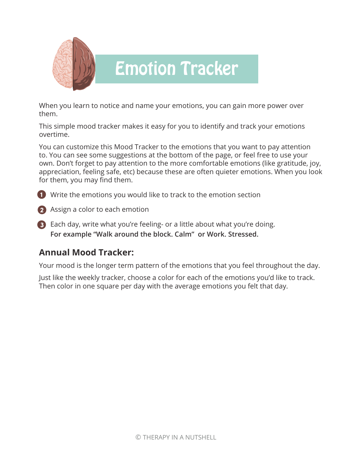

### Emotion Tracker

When you learn to notice and name your emotions, you can gain more power over them.

This simple mood tracker makes it easy for you to identify and track your emotions overtime.

You can customize this Mood Tracker to the emotions that you want to pay attention to. You can see some suggestions at the bottom of the page, or feel free to use your own. Don't forget to pay attention to the more comfortable emotions (like gratitude, joy, appreciation, feeling safe, etc) because these are often quieter emotions. When you look for them, you may find them.

Write the emotions you would like to track to the emotion section **1**

Assign a color to each emotion **2**

Each day, write what you're feeling- or a little about what you're doing. **3 For example "Walk around the block. Calm" or Work. Stressed.**

#### **Annual Mood Tracker:**

Your mood is the longer term pattern of the emotions that you feel throughout the day.

Just like the weekly tracker, choose a color for each of the emotions you'd like to track. Then color in one square per day with the average emotions you felt that day.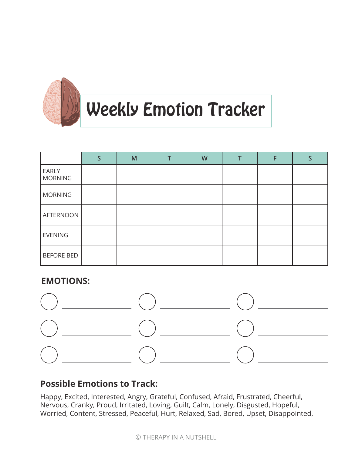

## Weekly Emotion Tracker

|                         | M | W |  | S |
|-------------------------|---|---|--|---|
| EARLY<br><b>MORNING</b> |   |   |  |   |
| <b>MORNING</b>          |   |   |  |   |
| AFTERNOON               |   |   |  |   |
| EVENING                 |   |   |  |   |
| <b>BEFORE BED</b>       |   |   |  |   |

#### **EMOTIONS:**



#### **Possible Emotions to Track:**

Happy, Excited, Interested, Angry, Grateful, Confused, Afraid, Frustrated, Cheerful, Nervous, Cranky, Proud, Irritated, Loving, Guilt, Calm, Lonely, Disgusted, Hopeful, Worried, Content, Stressed, Peaceful, Hurt, Relaxed, Sad, Bored, Upset, Disappointed,